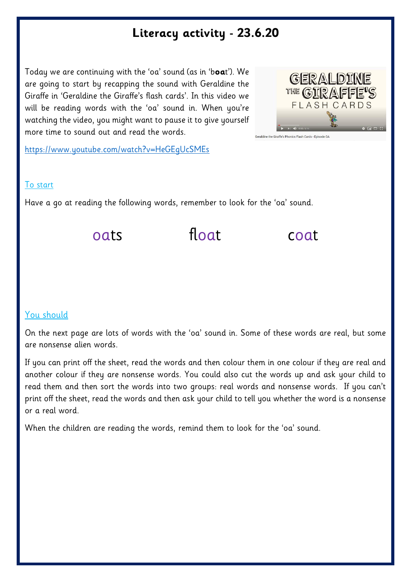## **Literacy activity - 23.6.20**

Today we are continuing with the 'oa' sound (as in 'b**oa**t'). We are going to start by recapping the sound with Geraldine the Giraffe in 'Geraldine the Giraffe's flash cards'. In this video we will be reading words with the 'oa' sound in. When you're watching the video, you might want to pause it to give yourself more time to sound out and read the words.



<https://www.youtube.com/watch?v=HeGEgUcSMEs>

#### To start

Have a go at reading the following words, remember to look for the 'oa' sound.

# oats float coat

### You should

On the next page are lots of words with the 'oa' sound in. Some of these words are real, but some are nonsense alien words.

If you can print off the sheet, read the words and then colour them in one colour if they are real and another colour if they are nonsense words. You could also cut the words up and ask your child to read them and then sort the words into two groups: real words and nonsense words. If you can't print off the sheet, read the words and then ask your child to tell you whether the word is a nonsense or a real word.

When the children are reading the words, remind them to look for the 'oa' sound.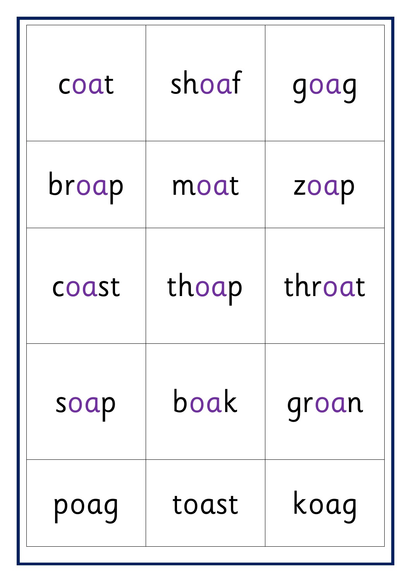| coat  | shoaf | qoag   |
|-------|-------|--------|
| broap | moat  | zoap   |
| coast | thoap | throat |
| soap  | boak  | groan  |
| poag  | toast | koag   |